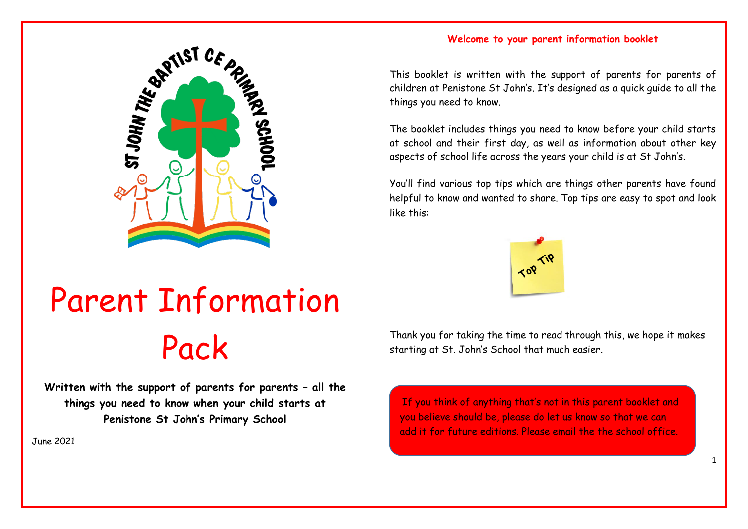

# **Welcome to your parent information booklet**

This booklet is written with the support of parents for parents of children at Penistone St John's. It's designed as a quick guide to all the things you need to know.

The booklet includes things you need to know before your child starts at school and their first day, as well as information about other key aspects of school life across the years your child is at St John's.

You'll find various top tips which are things other parents have found helpful to know and wanted to share. Top tips are easy to spot and look like this:



# Parent Information Pack

**Written with the support of parents for parents – all the things you need to know when your child starts at Penistone St John's Primary School**

June 2021

Thank you for taking the time to read through this, we hope it makes starting at St. John's School that much easier.

**Contents** add it for future editions. Please email the the school office.If you think of anything that's not in this parent booklet and you believe should be, please do let us know so that we can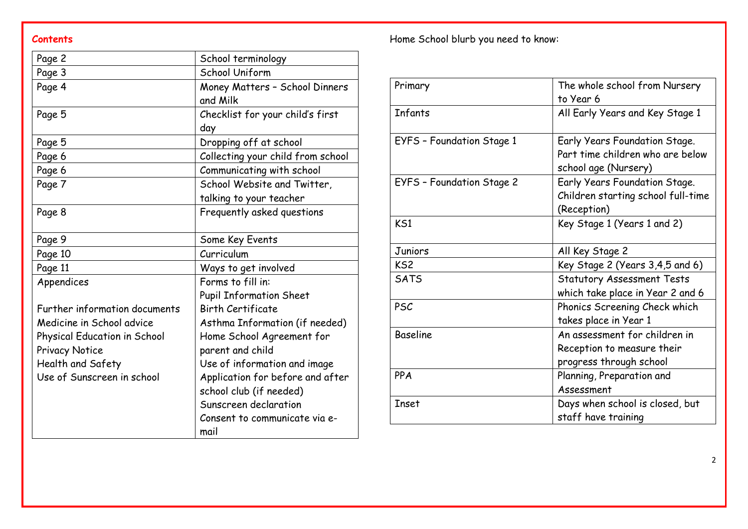| Page 2                        | School terminology                |
|-------------------------------|-----------------------------------|
| Page 3                        | School Uniform                    |
| Page 4                        | Money Matters - School Dinners    |
|                               | and Milk                          |
| Page 5                        | Checklist for your child's first  |
|                               | day                               |
| Page 5                        | Dropping off at school            |
| Page 6                        | Collecting your child from school |
| Page 6                        | Communicating with school         |
| Page 7                        | School Website and Twitter,       |
|                               | talking to your teacher           |
| Page 8                        | Frequently asked questions        |
|                               |                                   |
| Page 9                        | Some Key Events                   |
| Page 10                       | Curriculum                        |
| Page 11                       | Ways to get involved              |
| Appendices                    | Forms to fill in:                 |
|                               | <b>Pupil Information Sheet</b>    |
| Further information documents | <b>Birth Certificate</b>          |
| Medicine in School advice     | Asthma Information (if needed)    |
| Physical Education in School  | Home School Agreement for         |
| <b>Privacy Notice</b>         | parent and child                  |
| Health and Safety             | Use of information and image      |
| Use of Sunscreen in school    | Application for before and after  |
|                               | school club (if needed)           |
|                               | Sunscreen declaration             |
|                               | Consent to communicate via e-     |
|                               | mail                              |

**Contents Contents Contents Contents Contents Contents Contents Contents Contents Contents CONTENS** 

| Primary                   | The whole school from Nursery       |
|---------------------------|-------------------------------------|
|                           | to Year 6                           |
| Infants                   | All Early Years and Key Stage 1     |
| EYFS - Foundation Stage 1 | Early Years Foundation Stage.       |
|                           | Part time children who are below    |
|                           | school age (Nursery)                |
| EYFS - Foundation Stage 2 | Early Years Foundation Stage.       |
|                           | Children starting school full-time  |
|                           | (Reception)                         |
| KS1                       | Key Stage 1 (Years 1 and 2)         |
| Juniors                   | All Key Stage 2                     |
| KS <sub>2</sub>           | Key Stage 2 (Years $3,4,5$ and $6)$ |
| <b>SATS</b>               | <b>Statutory Assessment Tests</b>   |
|                           | which take place in Year 2 and 6    |
| <b>PSC</b>                | Phonics Screening Check which       |
|                           | takes place in Year 1               |
| <b>Baseline</b>           | An assessment for children in       |
|                           | Reception to measure their          |
|                           | progress through school             |
| PPA                       | Planning, Preparation and           |
|                           | Assessment                          |
| <b>Inset</b>              | Days when school is closed, but     |
|                           | staff have training                 |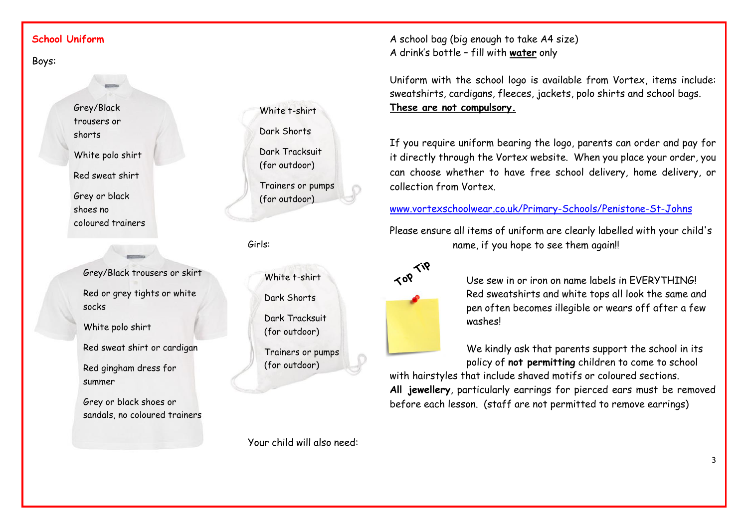# **School Uniform**

Boys:

Grey/Black trousers or shorts White polo shirt

Red sweat shirt

Grey or black shoes no coloured trainers

> Grey/Black trousers or skirt Red or grey tights or white socks

White polo shirt

Red sweat shirt or cardigan

Red gingham dress for summer

Grey or black shoes or sandals, no coloured trainers White t-shirt Dark Shorts Dark Tracksuit (for outdoor) Trainers or pumps (for outdoor)

Girls:

White t-shirt Dark Shorts Dark Tracksuit (for outdoor) Trainers or pumps (for outdoor)

A school bag (big enough to take A4 size) A drink's bottle – fill with **water** only

Uniform with the school logo is available from Vortex, items include: sweatshirts, cardigans, fleeces, jackets, polo shirts and school bags. **These are not compulsory.**

If you require uniform bearing the logo, parents can order and pay for it directly through the Vortex website. When you place your order, you can choose whether to have free school delivery, home delivery, or collection from Vortex.

[www.vortexschoolwear.co.uk/Primary-Schools/Penistone-St-Johns](http://www.vortexschoolwear.co.uk/Primary-Schools/Penistone-St-Johns)

Please ensure all items of uniform are clearly labelled with your child's name, if you hope to see them again!!



Use sew in or iron on name labels in EVERYTHING! Red sweatshirts and white tops all look the same and pen often becomes illegible or wears off after a few washes!

We kindly ask that parents support the school in its policy of **not permitting** children to come to school

with hairstyles that include shaved motifs or coloured sections. **All jewellery**, particularly earrings for pierced ears must be removed before each lesson. (staff are not permitted to remove earrings)

Your child will also need: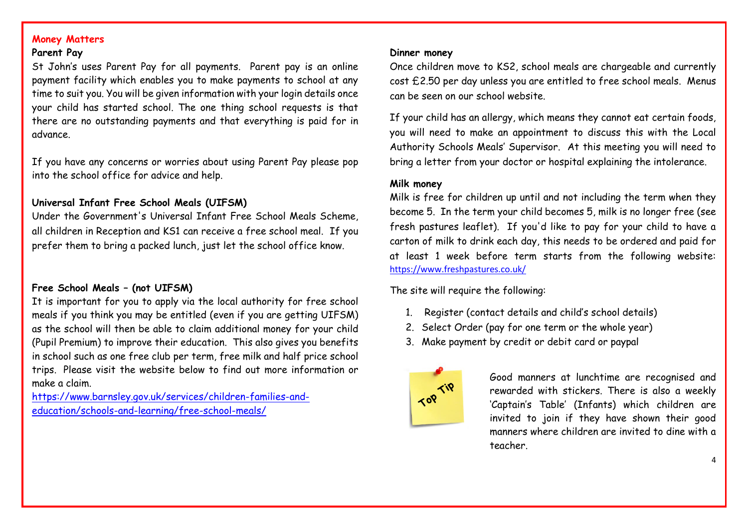# **Money Matters**

# **Parent Pay**

St John's uses Parent Pay for all payments. Parent pay is an online payment facility which enables you to make payments to school at any time to suit you. You will be given information with your login details once your child has started school. The one thing school requests is that there are no outstanding payments and that everything is paid for in advance.

If you have any concerns or worries about using Parent Pay please pop into the school office for advice and help.

# **Universal Infant Free School Meals (UIFSM)**

Under the Government's Universal Infant Free School Meals Scheme, all children in Reception and KS1 can receive a free school meal. If you prefer them to bring a packed lunch, just let the school office know.

# **Free School Meals – (not UIFSM)**

It is important for you to apply via the local authority for free school meals if you think you may be entitled (even if you are getting UIFSM) as the school will then be able to claim additional money for your child (Pupil Premium) to improve their education. This also gives you benefits in school such as one free club per term, free milk and half price school trips. Please visit the website below to find out more information or make a claim.

[https://www.barnsley.gov.uk/services/children-families-and](https://www.barnsley.gov.uk/services/children-families-and-education/schools-and-learning/free-school-meals/)[education/schools-and-learning/free-school-meals/](https://www.barnsley.gov.uk/services/children-families-and-education/schools-and-learning/free-school-meals/) 

#### **Dinner money**

Once children move to KS2, school meals are chargeable and currently cost £2.50 per day unless you are entitled to free school meals. Menus can be seen on our school website.

If your child has an allergy, which means they cannot eat certain foods, you will need to make an appointment to discuss this with the Local Authority Schools Meals' Supervisor. At this meeting you will need to bring a letter from your doctor or hospital explaining the intolerance.

#### **Milk money**

Milk is free for children up until and not including the term when they become 5. In the term your child becomes 5, milk is no longer free (see fresh pastures leaflet). If you'd like to pay for your child to have a carton of milk to drink each day, this needs to be ordered and paid for at least 1 week before term starts from the following website: <https://www.freshpastures.co.uk/>

The site will require the following:

- 1. Register (contact details and child's school details)
- 2. Select Order (pay for one term or the whole year)
- 3. Make payment by credit or debit card or paypal



Good manners at lunchtime are recognised and rewarded with stickers. There is also a weekly 'Captain's Table' (Infants) which children are invited to join if they have shown their good manners where children are invited to dine with a teacher.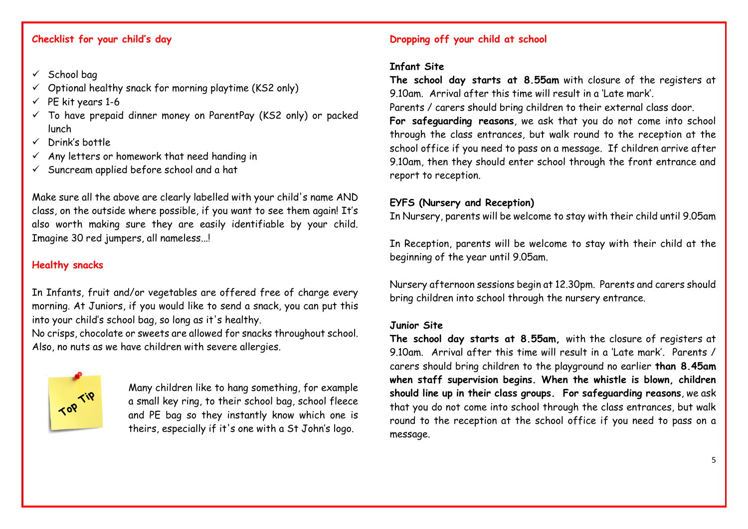# **Checklist for your child's day**

- $\checkmark$  School bag
- $\checkmark$  Optional healthy snack for morning playtime (KS2 only)
- $\checkmark$  PE kit years 1-6
- $\checkmark$  To have prepaid dinner money on ParentPay (KS2 only) or packed lunch
- $\checkmark$  Drink's bottle
- $\checkmark$  Any letters or homework that need handing in
- $\checkmark$  Suncream applied before school and a hat

Make sure all the above are clearly labelled with your child's name AND class, on the outside where possible, if you want to see them again! It's also worth making sure they are easily identifiable by your child. Imagine 30 red jumpers, all nameless...!

# **Healthy snacks**

In Infants, fruit and/or vegetables are offered free of charge every morning. At Juniors, if you would like to send a snack, you can put this into your child's school bag, so long as it's healthy.

No crisps, chocolate or sweets are allowed for snacks throughout school. Also, no nuts as we have children with severe allergies.



Many children like to hang something, for example a small key ring, to their school bag, school fleece and PE bag so they instantly know which one is theirs, especially if it's one with a St John's logo.

# **Dropping off your child at school**

#### **Infant Site**

**The school day starts at 8.55am** with closure of the registers at 9.10am. Arrival after this time will result in a 'Late mark'.

Parents / carers should bring children to their external class door.

**For safeguarding reasons**, we ask that you do not come into school through the class entrances, but walk round to the reception at the school office if you need to pass on a message. If children arrive after 9.10am, then they should enter school through the front entrance and report to reception.

# **EYFS (Nursery and Reception)**

In Nursery, parents will be welcome to stay with their child until 9.05am

In Reception, parents will be welcome to stay with their child at the beginning of the year until 9.05am.

Nursery afternoon sessions begin at 12.30pm. Parents and carers should bring children into school through the nursery entrance.

# **Junior Site**

**The school day starts at 8.55am,** with the closure of registers at 9.10am. Arrival after this time will result in a 'Late mark'. Parents / carers should bring children to the playground no earlier **than 8.45am when staff supervision begins. When the whistle is blown, children should line up in their class groups. For safeguarding reasons**, we ask that you do not come into school through the class entrances, but walk round to the reception at the school office if you need to pass on a message.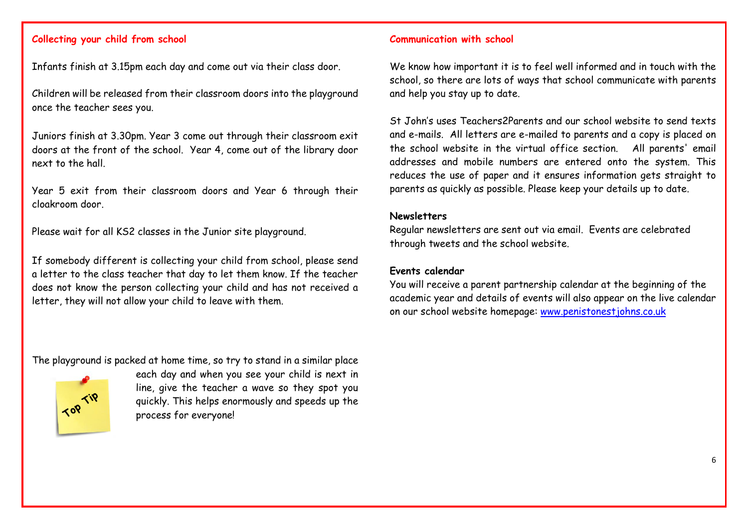# **Collecting your child from school**

Infants finish at 3.15pm each day and come out via their class door.

Children will be released from their classroom doors into the playground once the teacher sees you.

Juniors finish at 3.30pm. Year 3 come out through their classroom exit doors at the front of the school. Year 4, come out of the library door next to the hall.

Year 5 exit from their classroom doors and Year 6 through their cloakroom door.

Please wait for all KS2 classes in the Junior site playground.

If somebody different is collecting your child from school, please send a letter to the class teacher that day to let them know. If the teacher does not know the person collecting your child and has not received a letter, they will not allow your child to leave with them.

The playground is packed at home time, so try to stand in a similar place



each day and when you see your child is next in line, give the teacher a wave so they spot you quickly. This helps enormously and speeds up the process for everyone!

### **Communication with school**

We know how important it is to feel well informed and in touch with the school, so there are lots of ways that school communicate with parents and help you stay up to date.

St John's uses Teachers2Parents and our school website to send texts and e-mails. All letters are e-mailed to parents and a copy is placed on the school website in the virtual office section. All parents' email addresses and mobile numbers are entered onto the system. This reduces the use of paper and it ensures information gets straight to parents as quickly as possible. Please keep your details up to date.

#### **Newsletters**

Regular newsletters are sent out via email. Events are celebrated through tweets and the school website.

# **Events calendar**

You will receive a parent partnership calendar at the beginning of the academic year and details of events will also appear on the live calendar on our school website homepage: [www.penistonestjohns.co.uk](http://www.penistonestjohns.co.uk/)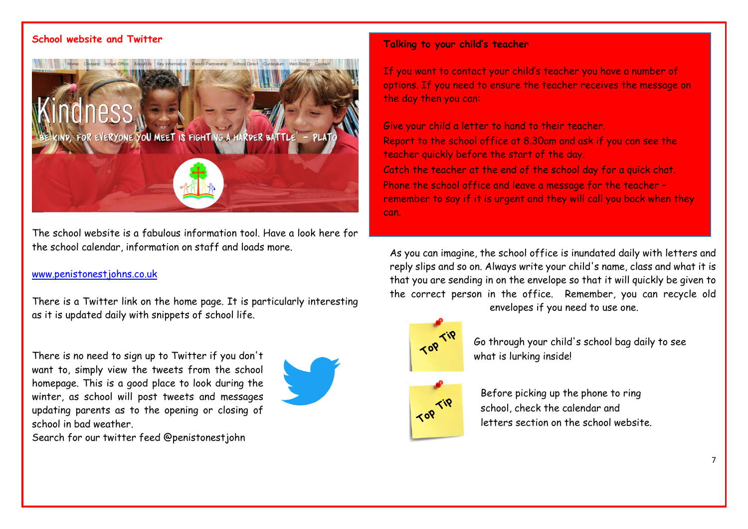# **School website and Twitter**



The school website is a fabulous information tool. Have a look here for the school calendar, information on staff and loads more.

## www.penistonestjohns.co.uk

There is a Twitter link on the home page. It is particularly interesting as it is updated daily with snippets of school life.

There is no need to sign up to Twitter if you don't want to, simply view the tweets from the school homepage. This is a good place to look during the winter, as school will post tweets and messages updating parents as to the opening or closing of school in bad weather.





#### **Talking to your child's teacher**

If you want to contact your child's teacher you have a number of options. If you need to ensure the teacher receives the message on the day then you can:

Give your child a letter to hand to their teacher. Report to the school office at 8.30am and ask if you can see the teacher quickly before the start of the day. Catch the teacher at the end of the school day for a quick chat. Phone the school office and leave a message for the teacher – remember to say if it is urgent and they will call you back when they can.

As you can imagine, the school office is inundated daily with letters and reply slips and so on. Always write your child's name, class and what it is that you are sending in on the envelope so that it will quickly be given to the correct person in the office. Remember, you can recycle old envelopes if you need to use one.



Go through your child's school bag daily to see what is lurking inside!



Before picking up the phone to ring school, check the calendar and letters section on the school website.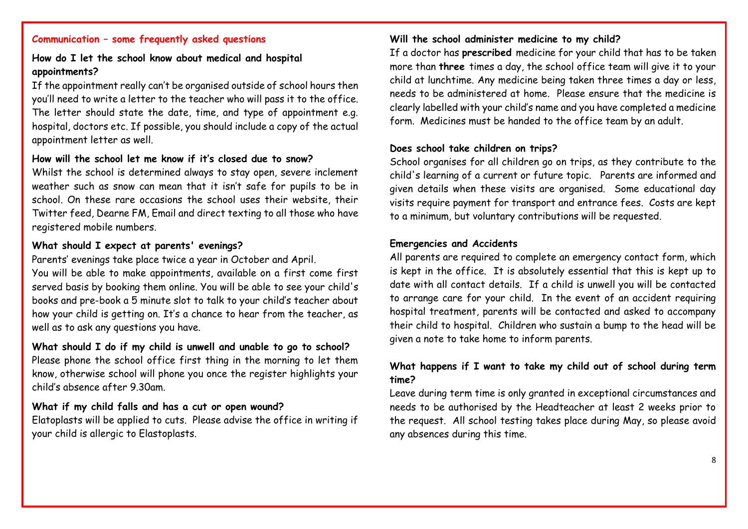# **Communication – some frequently asked questions**

# **How do I let the school know about medical and hospital appointments?**

If the appointment really can't be organised outside of school hours then you'll need to write a letter to the teacher who will pass it to the office. The letter should state the date, time, and type of appointment e.g. hospital, doctors etc. If possible, you should include a copy of the actual appointment letter as well.

# **How will the school let me know if it's closed due to snow?**

Whilst the school is determined always to stay open, severe inclement weather such as snow can mean that it isn't safe for pupils to be in school. On these rare occasions the school uses their website, their Twitter feed, Dearne FM, Email and direct texting to all those who have registered mobile numbers.

# **What should I expect at parents' evenings?**

Parents' evenings take place twice a year in October and April. You will be able to make appointments, available on a first come first served basis by booking them online. You will be able to see your child's books and pre-book a 5 minute slot to talk to your child's teacher about how your child is getting on. It's a chance to hear from the teacher, as well as to ask any questions you have.

#### **What should I do if my child is unwell and unable to go to school?**

Please phone the school office first thing in the morning to let them know, otherwise school will phone you once the register highlights your child's absence after 9.30am.

#### **What if my child falls and has a cut or open wound?**

Elatoplasts will be applied to cuts. Please advise the office in writing if your child is allergic to Elastoplasts.

## **Will the school administer medicine to my child?**

If a doctor has **prescribed** medicine for your child that has to be taken more than **three** times a day, the school office team will give it to your child at lunchtime. Any medicine being taken three times a day or less, needs to be administered at home. Please ensure that the medicine is clearly labelled with your child's name and you have completed a medicine form. Medicines must be handed to the office team by an adult.

#### **Does school take children on trips?**

School organises for all children go on trips, as they contribute to the child's learning of a current or future topic. Parents are informed and given details when these visits are organised. Some educational day visits require payment for transport and entrance fees. Costs are kept to a minimum, but voluntary contributions will be requested.

#### **Emergencies and Accidents**

All parents are required to complete an emergency contact form, which is kept in the office. It is absolutely essential that this is kept up to date with all contact details. If a child is unwell you will be contacted to arrange care for your child. In the event of an accident requiring hospital treatment, parents will be contacted and asked to accompany their child to hospital. Children who sustain a bump to the head will be given a note to take home to inform parents.

# **What happens if I want to take my child out of school during term time?**

Leave during term time is only granted in exceptional circumstances and needs to be authorised by the Headteacher at least 2 weeks prior to the request. All school testing takes place during May, so please avoid any absences during this time.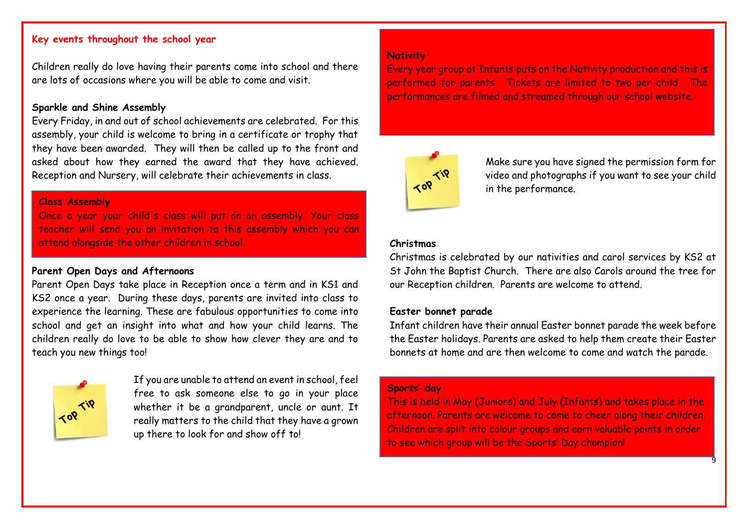# **Key events throughout the school year**

Children really do love having their parents come into school and there are lots of occasions where you will be able to come and visit.

#### **Sparkle and Shine Assembly**

Every Friday, in and out of school achievements are celebrated. For this assembly, your child is welcome to bring in a certificate or trophy that they have been awarded. They will then be called up to the front and asked about how they earned the award that they have achieved. Reception and Nursery, will celebrate their achievements in class.

#### **Class Assembly**

Once a year your child's class will put on an assembly. Your class teacher will send you an invitation to this assembly which you can attend alongside the other children in school.

# **Parent Open Days and Afternoons**

Parent Open Days take place in Reception once a term and in KS1 and KS2 once a year. During these days, parents are invited into class to experience the learning. These are fabulous opportunities to come into school and get an insight into what and how your child learns. The children really do love to be able to show how clever they are and to teach you new things too!



If you are unable to attend an event in school, feel free to ask someone else to go in your place whether it be a grandparent, uncle or aunt. It really matters to the child that they have a grown up there to look for and show off to!

# **Nativity**

Every year group at Infants puts on the Nativity production and this is performed for parents. Tickets are limited to two per child. The performances are filmed and streamed through our school website.



Make sure you have signed the permission form for video and photographs if you want to see your child in the performance.

#### **Christmas**

Christmas is celebrated by our nativities and carol services by KS2 at St John the Baptist Church. There are also Carols around the tree for our Reception children. Parents are welcome to attend.

# **Easter bonnet parade**

Infant children have their annual Easter bonnet parade the week before the Easter holidays. Parents are asked to help them create their Easter bonnets at home and are then welcome to come and watch the parade.

# **Sports' day**

This is held in May (Juniors) and July (Infants) and takes place in the afternoon. Parents are welcome to come to cheer along their children. Children are split into colour groups and earn valuable points in order to see which group will be the Sports' Day champion!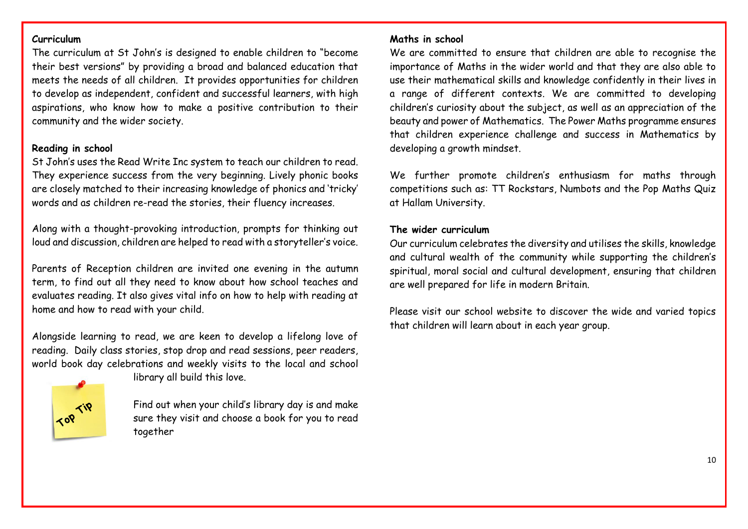# **Curriculum**

The curriculum at St John's is designed to enable children to "become their best versions" by providing a broad and balanced education that meets the needs of all children. It provides opportunities for children to develop as independent, confident and successful learners, with high aspirations, who know how to make a positive contribution to their community and the wider society.

# **Reading in school**

St John's uses the Read Write Inc system to teach our children to read. They experience success from the very beginning. Lively phonic books are closely matched to their increasing knowledge of phonics and 'tricky' words and as children re-read the stories, their fluency increases.

Along with a thought-provoking introduction, prompts for thinking out loud and discussion, children are helped to read with a storyteller's voice.

Parents of Reception children are invited one evening in the autumn term, to find out all they need to know about how school teaches and evaluates reading. It also gives vital info on how to help with reading at home and how to read with your child.

Alongside learning to read, we are keen to develop a lifelong love of reading. Daily class stories, stop drop and read sessions, peer readers, world book day celebrations and weekly visits to the local and school



library all build this love.

Find out when your child's library day is and make sure they visit and choose a book for you to read together

# **Maths in school**

We are committed to ensure that children are able to recognise the importance of Maths in the wider world and that they are also able to use their mathematical skills and knowledge confidently in their lives in a range of different contexts. We are committed to developing children's curiosity about the subject, as well as an appreciation of the beauty and power of Mathematics. The Power Maths programme ensures that children experience challenge and success in Mathematics by developing a growth mindset.

We further promote children's enthusiasm for maths through competitions such as: TT Rockstars, Numbots and the Pop Maths Quiz at Hallam University.

# **The wider curriculum**

Our curriculum celebrates the diversity and utilises the skills, knowledge and cultural wealth of the community while supporting the children's spiritual, moral social and cultural development, ensuring that children are well prepared for life in modern Britain.

Please visit our school website to discover the wide and varied topics that children will learn about in each year group.